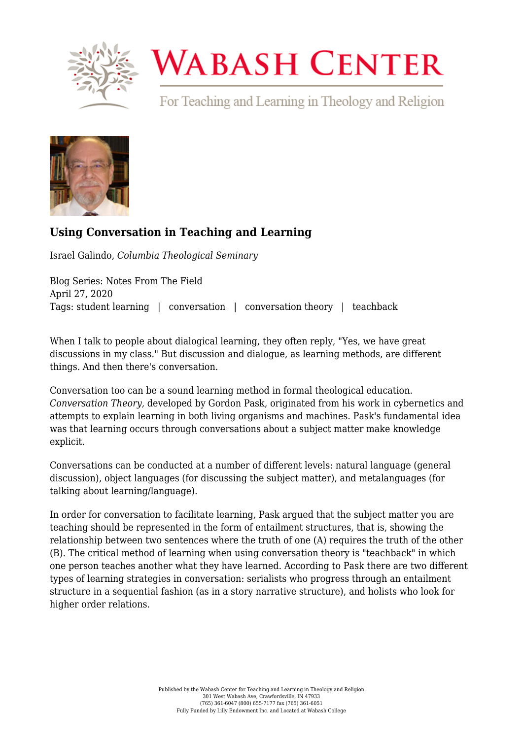

## **WABASH CENTER**

For Teaching and Learning in Theology and Religion



## **[Using Conversation in Teaching and Learning](https://www.wabashcenter.wabash.edu/2020/04/using-conversation-in-teaching-and-learning/)**

Israel Galindo, *Columbia Theological Seminary*

Blog Series: Notes From The Field April 27, 2020 Tags: student learning | conversation | conversation theory | teachback

When I talk to people about dialogical learning, they often reply, "Yes, we have great discussions in my class." But discussion and dialogue, as learning methods, are different things. And then there's conversation.

Conversation too can be a sound learning method in formal theological education. *Conversation Theory,* developed by [Gordon Pask,](https://www.amazon.com/gp/product/044441424X/ref=dbs_a_def_rwt_hsch_vapi_taft_p1_i4) originated from his work in cybernetics and attempts to explain learning in both living organisms and machines. Pask's fundamental idea was that learning occurs through conversations about a subject matter make knowledge explicit.

Conversations can be conducted at a number of different levels: natural language (general discussion), object languages (for discussing the subject matter), and metalanguages (for talking about learning/language).

In order for conversation to facilitate learning, Pask argued that the subject matter you are teaching should be represented in the form of entailment structures, that is, showing the relationship between two sentences where the truth of one (A) requires the truth of the other (B). The critical method of learning when using conversation theory is "teachback" in which one person teaches another what they have learned. According to Pask there are two different types of learning strategies in conversation: serialists who progress through an entailment structure in a sequential fashion (as in a story narrative structure), and holists who look for higher order relations.